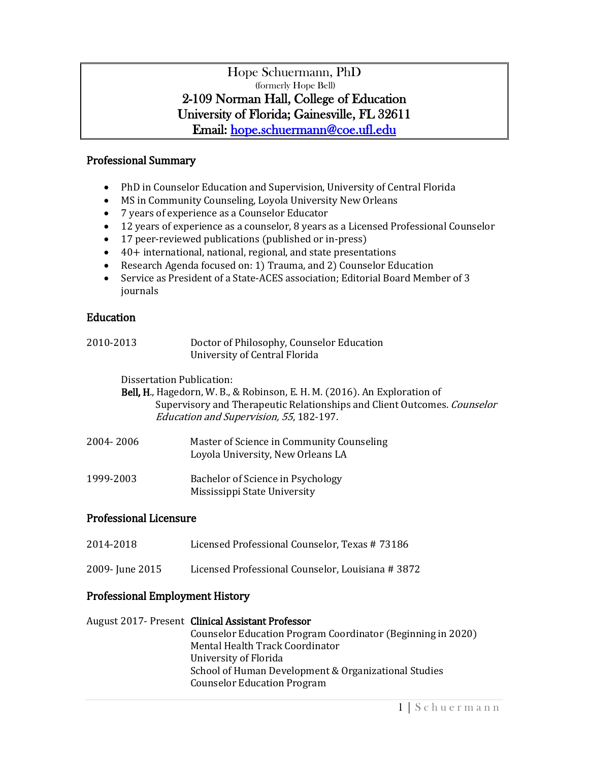### Hope Schuermann, PhD (formerly Hope Bell) 2-109 Norman Hall, College of Education University of Florida; Gainesville, FL 32611 Email: [hope.schuermann@coe.ufl.edu](mailto:hope.schuermann@coe.ufl.edu)

### Professional Summary

- PhD in Counselor Education and Supervision, University of Central Florida
- MS in Community Counseling, Loyola University New Orleans
- 7 years of experience as a Counselor Educator
- 12 years of experience as a counselor, 8 years as a Licensed Professional Counselor
- 17 peer-reviewed publications (published or in-press)
- 40+ international, national, regional, and state presentations<br>• Research Agenda focused on: 1) Trauma, and 2) Counselor Ed
- Research Agenda focused on: 1) Trauma, and 2) Counselor Education
- Service as President of a State-ACES association; Editorial Board Member of 3 journals

### **Education**

| 2010-2013                                                                                                                                                                                                                     | Doctor of Philosophy, Counselor Education<br>University of Central Florida                                                                          |  |
|-------------------------------------------------------------------------------------------------------------------------------------------------------------------------------------------------------------------------------|-----------------------------------------------------------------------------------------------------------------------------------------------------|--|
| Dissertation Publication:<br>Bell, H., Hagedorn, W. B., & Robinson, E. H. M. (2016). An Exploration of<br>Supervisory and Therapeutic Relationships and Client Outcomes. Counselor<br>Education and Supervision, 55, 182-197. |                                                                                                                                                     |  |
| 2004-2006                                                                                                                                                                                                                     | Master of Science in Community Counseling<br>Loyola University, New Orleans LA                                                                      |  |
| 1999-2003                                                                                                                                                                                                                     | Bachelor of Science in Psychology<br>Mississippi State University                                                                                   |  |
| <b>Professional Licensure</b>                                                                                                                                                                                                 |                                                                                                                                                     |  |
| 2014-2018                                                                                                                                                                                                                     | Licensed Professional Counselor, Texas #73186                                                                                                       |  |
| 2009- June 2015                                                                                                                                                                                                               | Licensed Professional Counselor, Louisiana #3872                                                                                                    |  |
| <b>Professional Employment History</b>                                                                                                                                                                                        |                                                                                                                                                     |  |
|                                                                                                                                                                                                                               | August 2017- Present Clinical Assistant Professor<br>Counselor Education Program Coordinator (Beginning in 2020)<br>Mental Health Track Coordinator |  |

University of Florida School of Human Development & Organizational Studies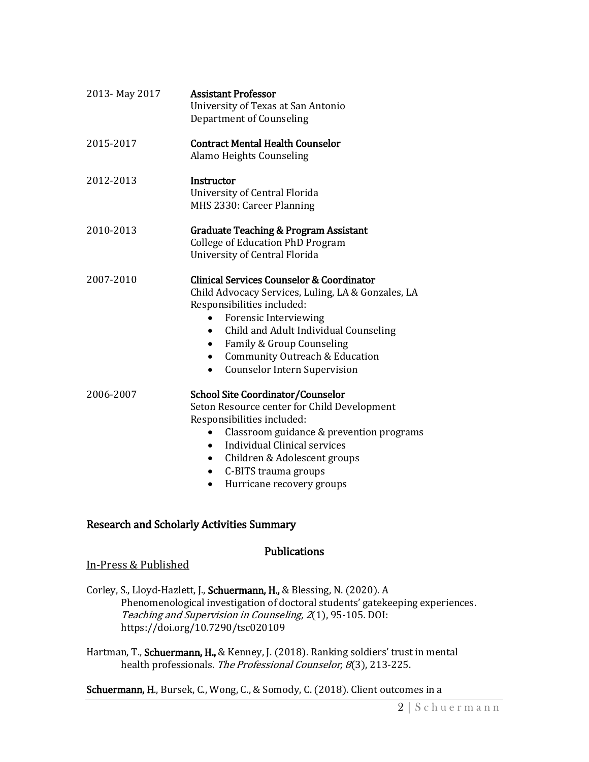| 2013-May 2017 | <b>Assistant Professor</b><br>University of Texas at San Antonio<br>Department of Counseling                                                                                                                                                                                                                                                    |
|---------------|-------------------------------------------------------------------------------------------------------------------------------------------------------------------------------------------------------------------------------------------------------------------------------------------------------------------------------------------------|
| 2015-2017     | <b>Contract Mental Health Counselor</b><br>Alamo Heights Counseling                                                                                                                                                                                                                                                                             |
| 2012-2013     | Instructor<br>University of Central Florida<br>MHS 2330: Career Planning                                                                                                                                                                                                                                                                        |
| 2010-2013     | <b>Graduate Teaching &amp; Program Assistant</b><br><b>College of Education PhD Program</b><br>University of Central Florida                                                                                                                                                                                                                    |
| 2007-2010     | <b>Clinical Services Counselor &amp; Coordinator</b><br>Child Advocacy Services, Luling, LA & Gonzales, LA<br>Responsibilities included:<br><b>Forensic Interviewing</b><br>Child and Adult Individual Counseling<br>Family & Group Counseling<br><b>Community Outreach &amp; Education</b><br>$\bullet$<br><b>Counselor Intern Supervision</b> |
| 2006-2007     | <b>School Site Coordinator/Counselor</b><br>Seton Resource center for Child Development<br>Responsibilities included:<br>Classroom guidance & prevention programs<br>$\bullet$<br>Individual Clinical services<br>Children & Adolescent groups<br>$\bullet$<br>C-BITS trauma groups                                                             |

• Hurricane recovery groups

## Research and Scholarly Activities Summary

### Publications

### In-Press & Published

Corley, S., Lloyd-Hazlett, J., Schuermann, H., & Blessing, N. (2020). A Phenomenological investigation of doctoral students' gatekeeping experiences. Teaching and Supervision in Counseling, 2(1), 95-105. DOI: https://doi.org/10.7290/tsc020109

Hartman, T., Schuermann, H., & Kenney, J. (2018). Ranking soldiers' trust in mental health professionals. The Professional Counselor, 8(3), 213-225.

## Schuermann, H., Bursek, C., Wong, C., & Somody, C. (2018). Client outcomes in a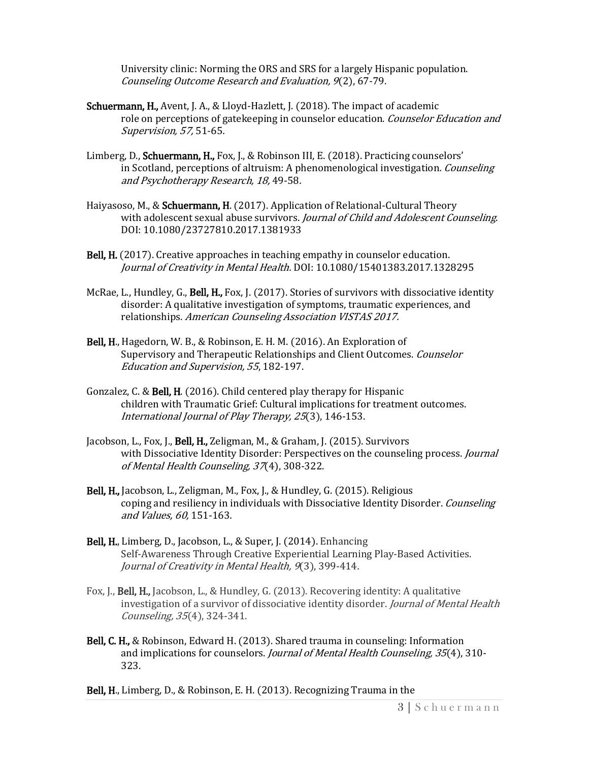University clinic: Norming the ORS and SRS for a largely Hispanic population. Counseling Outcome Research and Evaluation, 9(2), 67-79.

- Schuermann, H., Avent, J. A., & Lloyd-Hazlett, J. (2018). The impact of academic role on perceptions of gatekeeping in counselor education. Counselor Education and Supervision, 57, 51-65.
- Limberg, D., **Schuermann, H.,** Fox, J., & Robinson III, E. (2018). Practicing counselors' in Scotland, perceptions of altruism: A phenomenological investigation. Counseling and Psychotherapy Research, 18, 49-58.
- Haiyasoso, M., & Schuermann, H. (2017). Application of Relational-Cultural Theory with adolescent sexual abuse survivors. Journal of Child and Adolescent Counseling. DOI: 10.1080/23727810.2017.1381933
- Bell, H. (2017). Creative approaches in teaching empathy in counselor education. Journal of Creativity in Mental Health. DOI: 10.1080/15401383.2017.1328295
- McRae, L., Hundley, G., Bell, H., Fox, J. (2017). Stories of survivors with dissociative identity disorder: A qualitative investigation of symptoms, traumatic experiences, and relationships. American Counseling Association VISTAS 2017.
- Bell, H., Hagedorn, W. B., & Robinson, E. H. M. (2016). An Exploration of Supervisory and Therapeutic Relationships and Client Outcomes. Counselor Education and Supervision, 55, 182-197.
- Gonzalez, C. & Bell, H. (2016). Child centered play therapy for Hispanic children with Traumatic Grief: Cultural implications for treatment outcomes. International Journal of Play Therapy, 25(3), 146-153.
- Jacobson, L., Fox, J., Bell, H., Zeligman, M., & Graham, J. (2015). Survivors with Dissociative Identity Disorder: Perspectives on the counseling process. *Journal* of Mental Health Counseling, 37(4), 308-322.
- Bell, H., Jacobson, L., Zeligman, M., Fox, J., & Hundley, G. (2015). Religious coping and resiliency in individuals with Dissociative Identity Disorder. Counseling and Values, 60, 151-163.
- Bell, H., Limberg, D., Jacobson, L., & Super, J. (2014). Enhancing Self-Awareness Through Creative Experiential Learning Play-Based Activities. Journal of Creativity in Mental Health, 9(3), 399-414.
- Fox, J., Bell, H., Jacobson, L., & Hundley, G. (2013). Recovering identity: A qualitative investigation of a survivor of dissociative identity disorder. Journal of Mental Health Counseling, 35(4), 324-341.
- Bell, C. H., & Robinson, Edward H. (2013). Shared trauma in counseling: Information and implications for counselors. *Journal of Mental Health Counseling*, 35(4), 310-323.
- Bell, H., Limberg, D., & Robinson, E. H. (2013). Recognizing Trauma in the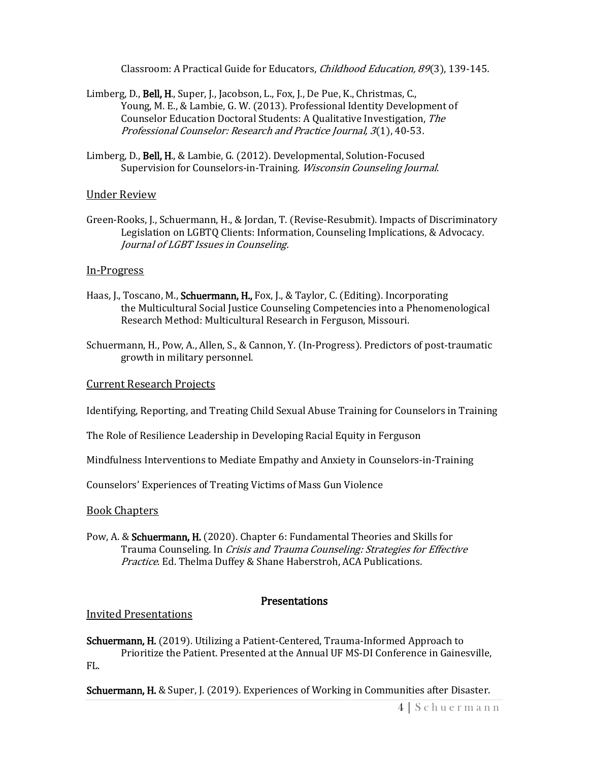Classroom: A Practical Guide for Educators, *Childhood Education, 89*(3), 139-145.

- Limberg, D., Bell, H., Super, J., Jacobson, L., Fox, J., De Pue, K., Christmas, C., Young, M. E., & Lambie, G. W. (2013). Professional Identity Development of Counselor Education Doctoral Students: A Qualitative Investigation, The Professional Counselor: Research and Practice Journal, 3(1), 40-53.
- Limberg, D., Bell, H., & Lambie, G. (2012). Developmental, Solution-Focused Supervision for Counselors-in-Training. Wisconsin Counseling Journal.

#### Under Review

Green-Rooks, J., Schuermann, H., & Jordan, T. (Revise-Resubmit). Impacts of Discriminatory Legislation on LGBTQ Clients: Information, Counseling Implications, & Advocacy. Journal of LGBT Issues in Counseling.

#### In-Progress

- Haas, J., Toscano, M., Schuermann, H., Fox, J., & Taylor, C. (Editing). Incorporating the Multicultural Social Justice Counseling Competencies into a Phenomenological Research Method: Multicultural Research in Ferguson, Missouri.
- Schuermann, H., Pow, A., Allen, S., & Cannon, Y. (In-Progress). Predictors of post-traumatic growth in military personnel.

#### Current Research Projects

Identifying, Reporting, and Treating Child Sexual Abuse Training for Counselors in Training

The Role of Resilience Leadership in Developing Racial Equity in Ferguson

Mindfulness Interventions to Mediate Empathy and Anxiety in Counselors-in-Training

Counselors' Experiences of Treating Victims of Mass Gun Violence

#### Book Chapters

Pow, A. & Schuermann, H. (2020). Chapter 6: Fundamental Theories and Skills for Trauma Counseling. In Crisis and Trauma Counseling: Strategies for Effective Practice. Ed. Thelma Duffey & Shane Haberstroh, ACA Publications.

#### **Presentations**

#### Invited Presentations

Schuermann, H. (2019). Utilizing a Patient-Centered, Trauma-Informed Approach to Prioritize the Patient. Presented at the Annual UF MS-DI Conference in Gainesville, FL.

**Schuermann, H.** & Super, J. (2019). Experiences of Working in Communities after Disaster.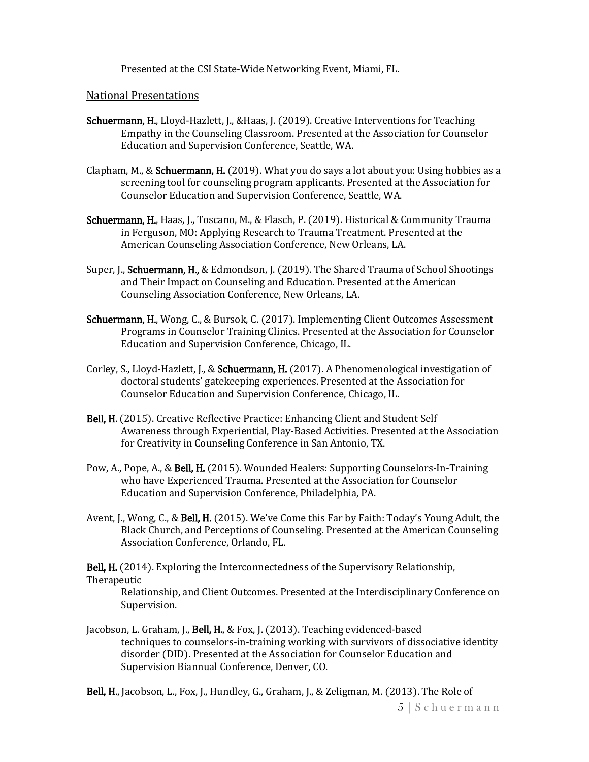Presented at the CSI State-Wide Networking Event, Miami, FL.

#### National Presentations

- Schuermann, H., Lloyd-Hazlett, J., &Haas, J. (2019). Creative Interventions for Teaching Empathy in the Counseling Classroom. Presented at the Association for Counselor Education and Supervision Conference, Seattle, WA.
- Clapham, M., & **Schuermann, H.** (2019). What you do says a lot about you: Using hobbies as a screening tool for counseling program applicants. Presented at the Association for Counselor Education and Supervision Conference, Seattle, WA.
- Schuermann, H., Haas, J., Toscano, M., & Flasch, P. (2019). Historical & Community Trauma in Ferguson, MO: Applying Research to Trauma Treatment. Presented at the American Counseling Association Conference, New Orleans, LA.
- Super, J., Schuermann, H., & Edmondson, J. (2019). The Shared Trauma of School Shootings and Their Impact on Counseling and Education. Presented at the American Counseling Association Conference, New Orleans, LA.
- Schuermann, H., Wong, C., & Bursok, C. (2017). Implementing Client Outcomes Assessment Programs in Counselor Training Clinics. Presented at the Association for Counselor Education and Supervision Conference, Chicago, IL.
- Corley, S., Lloyd-Hazlett, J., & Schuermann, H. (2017). A Phenomenological investigation of doctoral students' gatekeeping experiences. Presented at the Association for Counselor Education and Supervision Conference, Chicago, IL.
- Bell, H. (2015). Creative Reflective Practice: Enhancing Client and Student Self Awareness through Experiential, Play-Based Activities. Presented at the Association for Creativity in Counseling Conference in San Antonio, TX.
- Pow, A., Pope, A., & Bell, H. (2015). Wounded Healers: Supporting Counselors-In-Training who have Experienced Trauma. Presented at the Association for Counselor Education and Supervision Conference, Philadelphia, PA.
- Avent, J., Wong, C., & Bell, H. (2015). We've Come this Far by Faith: Today's Young Adult, the Black Church, and Perceptions of Counseling. Presented at the American Counseling Association Conference, Orlando, FL.

Bell, H. (2014). Exploring the Interconnectedness of the Supervisory Relationship,

#### Therapeutic

Relationship, and Client Outcomes. Presented at the Interdisciplinary Conference on Supervision.

- Jacobson, L. Graham, J., Bell, H., & Fox, J. (2013). Teaching evidenced-based techniques to counselors-in-training working with survivors of dissociative identity disorder (DID). Presented at the Association for Counselor Education and Supervision Biannual Conference, Denver, CO.
- Bell, H., Jacobson, L., Fox, J., Hundley, G., Graham, J., & Zeligman, M. (2013). The Role of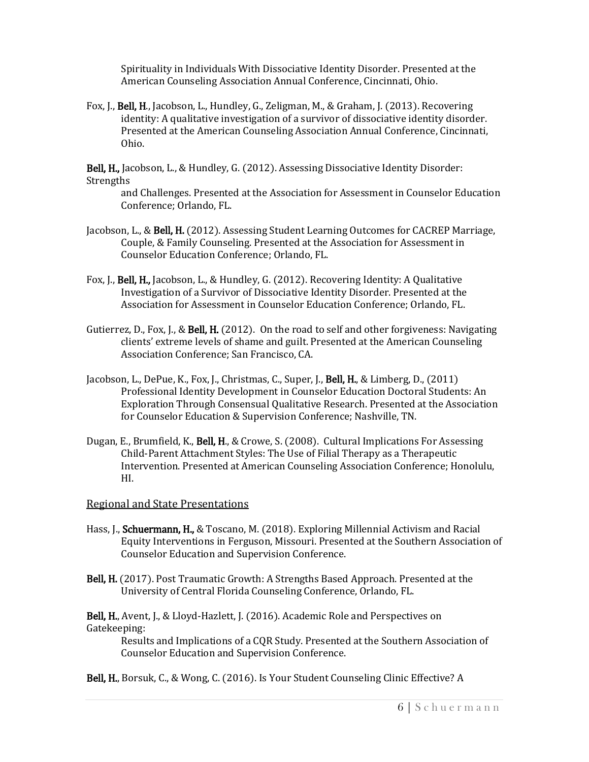Spirituality in Individuals With Dissociative Identity Disorder. Presented at the American Counseling Association Annual Conference, Cincinnati, Ohio.

Fox, J., Bell, H., Jacobson, L., Hundley, G., Zeligman, M., & Graham, J. (2013). Recovering identity: A qualitative investigation of a survivor of dissociative identity disorder. Presented at the American Counseling Association Annual Conference, Cincinnati, Ohio.

Bell, H., Jacobson, L., & Hundley, G. (2012). Assessing Dissociative Identity Disorder: Strengths

and Challenges. Presented at the Association for Assessment in Counselor Education Conference; Orlando, FL.

- Jacobson, L., & Bell, H. (2012). Assessing Student Learning Outcomes for CACREP Marriage, Couple, & Family Counseling. Presented at the Association for Assessment in Counselor Education Conference; Orlando, FL.
- Fox, J., Bell, H., Jacobson, L., & Hundley, G. (2012). Recovering Identity: A Qualitative Investigation of a Survivor of Dissociative Identity Disorder. Presented at the Association for Assessment in Counselor Education Conference; Orlando, FL.
- Gutierrez, D., Fox, J., & **Bell, H.** (2012). On the road to self and other forgiveness: Navigating clients' extreme levels of shame and guilt. Presented at the American Counseling Association Conference; San Francisco, CA.
- Jacobson, L., DePue, K., Fox, J., Christmas, C., Super, J., Bell, H., & Limberg, D., (2011) Professional Identity Development in Counselor Education Doctoral Students: An Exploration Through Consensual Qualitative Research. Presented at the Association for Counselor Education & Supervision Conference; Nashville, TN.
- Dugan, E., Brumfield, K., Bell, H., & Crowe, S. (2008). Cultural Implications For Assessing Child-Parent Attachment Styles: The Use of Filial Therapy as a Therapeutic Intervention. Presented at American Counseling Association Conference; Honolulu, HI.

#### Regional and State Presentations

- Hass, J., **Schuermann, H.,** & Toscano, M. (2018). Exploring Millennial Activism and Racial Equity Interventions in Ferguson, Missouri. Presented at the Southern Association of Counselor Education and Supervision Conference.
- Bell, H. (2017). Post Traumatic Growth: A Strengths Based Approach. Presented at the University of Central Florida Counseling Conference, Orlando, FL.

Bell, H., Avent, J., & Lloyd-Hazlett, J. (2016). Academic Role and Perspectives on Gatekeeping:

Results and Implications of a CQR Study. Presented at the Southern Association of Counselor Education and Supervision Conference.

Bell, H., Borsuk, C., & Wong, C. (2016). Is Your Student Counseling Clinic Effective? A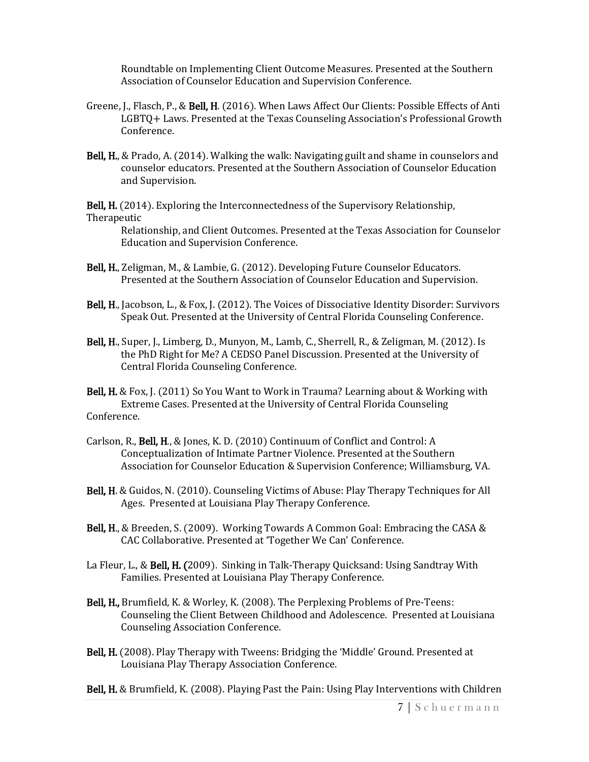Roundtable on Implementing Client Outcome Measures. Presented at the Southern Association of Counselor Education and Supervision Conference.

- Greene, J., Flasch, P., & Bell, H. (2016). When Laws Affect Our Clients: Possible Effects of Anti LGBTQ+ Laws. Presented at the Texas Counseling Association's Professional Growth Conference.
- Bell, H., & Prado, A. (2014). Walking the walk: Navigating guilt and shame in counselors and counselor educators. Presented at the Southern Association of Counselor Education and Supervision.

Bell, H. (2014). Exploring the Interconnectedness of the Supervisory Relationship, Therapeutic

Relationship, and Client Outcomes. Presented at the Texas Association for Counselor Education and Supervision Conference.

- Bell, H., Zeligman, M., & Lambie, G. (2012). Developing Future Counselor Educators. Presented at the Southern Association of Counselor Education and Supervision.
- Bell, H., Jacobson, L., & Fox, J. (2012). The Voices of Dissociative Identity Disorder: Survivors Speak Out. Presented at the University of Central Florida Counseling Conference.
- Bell, H., Super, J., Limberg, D., Munyon, M., Lamb, C., Sherrell, R., & Zeligman, M. (2012). Is the PhD Right for Me? A CEDSO Panel Discussion. Presented at the University of Central Florida Counseling Conference.

Bell, H. & Fox, J. (2011) So You Want to Work in Trauma? Learning about & Working with Extreme Cases. Presented at the University of Central Florida Counseling Conference.

- Carlson, R., Bell, H., & Jones, K. D. (2010) Continuum of Conflict and Control: A Conceptualization of Intimate Partner Violence. Presented at the Southern Association for Counselor Education & Supervision Conference; Williamsburg, VA.
- Bell, H. & Guidos, N. (2010). Counseling Victims of Abuse: Play Therapy Techniques for All Ages. Presented at Louisiana Play Therapy Conference.
- Bell, H., & Breeden, S. (2009). Working Towards A Common Goal: Embracing the CASA & CAC Collaborative. Presented at 'Together We Can' Conference.
- La Fleur, L., & Bell, H. (2009). Sinking in Talk-Therapy Quicksand: Using Sandtray With Families. Presented at Louisiana Play Therapy Conference.
- Bell, H., Brumfield, K. & Worley, K. (2008). The Perplexing Problems of Pre-Teens: Counseling the Client Between Childhood and Adolescence. Presented at Louisiana Counseling Association Conference.
- Bell, H. (2008). Play Therapy with Tweens: Bridging the 'Middle' Ground. Presented at Louisiana Play Therapy Association Conference.

Bell, H. & Brumfield, K. (2008). Playing Past the Pain: Using Play Interventions with Children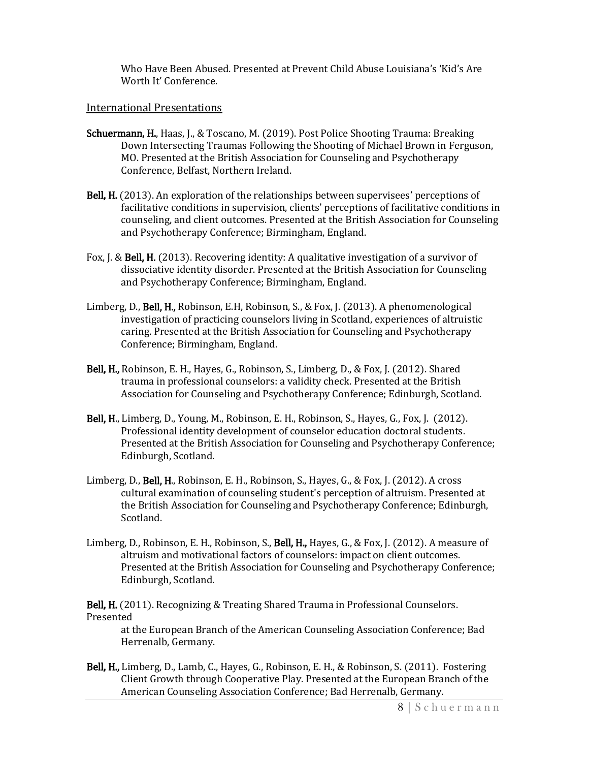Who Have Been Abused. Presented at Prevent Child Abuse Louisiana's 'Kid's Are Worth It' Conference.

#### International Presentations

- Schuermann, H., Haas, J., & Toscano, M. (2019). Post Police Shooting Trauma: Breaking Down Intersecting Traumas Following the Shooting of Michael Brown in Ferguson, MO. Presented at the British Association for Counseling and Psychotherapy Conference, Belfast, Northern Ireland.
- Bell, H. (2013). An exploration of the relationships between supervisees' perceptions of facilitative conditions in supervision, clients' perceptions of facilitative conditions in counseling, and client outcomes. Presented at the British Association for Counseling and Psychotherapy Conference; Birmingham, England.
- Fox, J. & Bell, H. (2013). Recovering identity: A qualitative investigation of a survivor of dissociative identity disorder. Presented at the British Association for Counseling and Psychotherapy Conference; Birmingham, England.
- Limberg, D., Bell, H., Robinson, E.H, Robinson, S., & Fox, J. (2013). A phenomenological investigation of practicing counselors living in Scotland, experiences of altruistic caring. Presented at the British Association for Counseling and Psychotherapy Conference; Birmingham, England.
- Bell, H., Robinson, E. H., Hayes, G., Robinson, S., Limberg, D., & Fox, J. (2012). Shared trauma in professional counselors: a validity check. Presented at the British Association for Counseling and Psychotherapy Conference; Edinburgh, Scotland.
- Bell, H., Limberg, D., Young, M., Robinson, E. H., Robinson, S., Hayes, G., Fox, J. (2012). Professional identity development of counselor education doctoral students. Presented at the British Association for Counseling and Psychotherapy Conference; Edinburgh, Scotland.
- Limberg, D., Bell, H., Robinson, E. H., Robinson, S., Hayes, G., & Fox, J. (2012). A cross cultural examination of counseling student's perception of altruism. Presented at the British Association for Counseling and Psychotherapy Conference; Edinburgh, Scotland.
- Limberg, D., Robinson, E. H., Robinson, S., **Bell, H.,** Hayes, G., & Fox, J. (2012). A measure of altruism and motivational factors of counselors: impact on client outcomes. Presented at the British Association for Counseling and Psychotherapy Conference; Edinburgh, Scotland.

Bell, H. (2011). Recognizing & Treating Shared Trauma in Professional Counselors. Presented

at the European Branch of the American Counseling Association Conference; Bad Herrenalb, Germany.

Bell, H., Limberg, D., Lamb, C., Hayes, G., Robinson, E. H., & Robinson, S. (2011). Fostering Client Growth through Cooperative Play. Presented at the European Branch of the American Counseling Association Conference; Bad Herrenalb, Germany.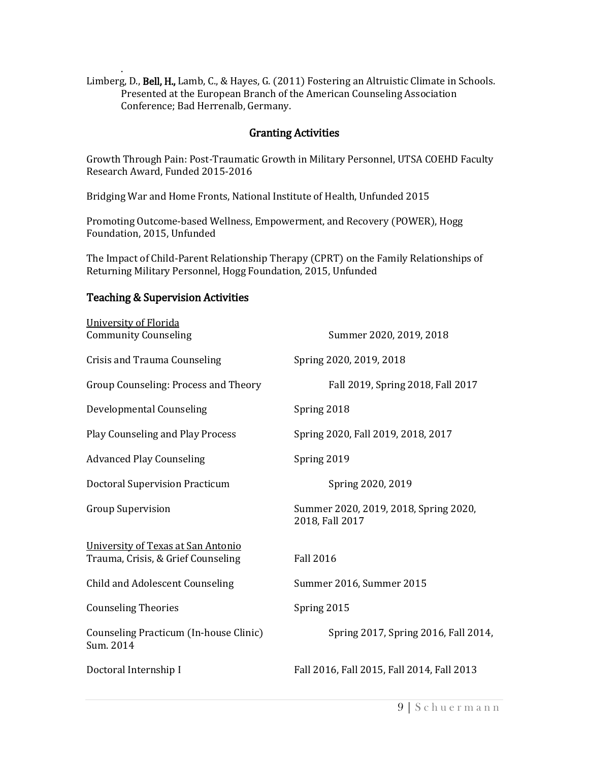. Limberg, D., Bell, H., Lamb, C., & Hayes, G. (2011) Fostering an Altruistic Climate in Schools. Presented at the European Branch of the American Counseling Association Conference; Bad Herrenalb, Germany.

### Granting Activities

Growth Through Pain: Post-Traumatic Growth in Military Personnel, UTSA COEHD Faculty Research Award, Funded 2015-2016

Bridging War and Home Fronts, National Institute of Health, Unfunded 2015

Promoting Outcome-based Wellness, Empowerment, and Recovery (POWER), Hogg Foundation, 2015, Unfunded

The Impact of Child-Parent Relationship Therapy (CPRT) on the Family Relationships of Returning Military Personnel, Hogg Foundation, 2015, Unfunded

# Teaching & Supervision Activities

| University of Florida<br><b>Community Counseling</b>                     | Summer 2020, 2019, 2018                                  |
|--------------------------------------------------------------------------|----------------------------------------------------------|
| Crisis and Trauma Counseling                                             | Spring 2020, 2019, 2018                                  |
| Group Counseling: Process and Theory                                     | Fall 2019, Spring 2018, Fall 2017                        |
| Developmental Counseling                                                 | Spring 2018                                              |
| Play Counseling and Play Process                                         | Spring 2020, Fall 2019, 2018, 2017                       |
| <b>Advanced Play Counseling</b>                                          | Spring 2019                                              |
| <b>Doctoral Supervision Practicum</b>                                    | Spring 2020, 2019                                        |
| <b>Group Supervision</b>                                                 | Summer 2020, 2019, 2018, Spring 2020,<br>2018, Fall 2017 |
| University of Texas at San Antonio<br>Trauma, Crisis, & Grief Counseling | <b>Fall 2016</b>                                         |
| Child and Adolescent Counseling                                          | Summer 2016, Summer 2015                                 |
| <b>Counseling Theories</b>                                               | Spring 2015                                              |
| Counseling Practicum (In-house Clinic)<br>Sum. 2014                      | Spring 2017, Spring 2016, Fall 2014,                     |
| Doctoral Internship I                                                    | Fall 2016, Fall 2015, Fall 2014, Fall 2013               |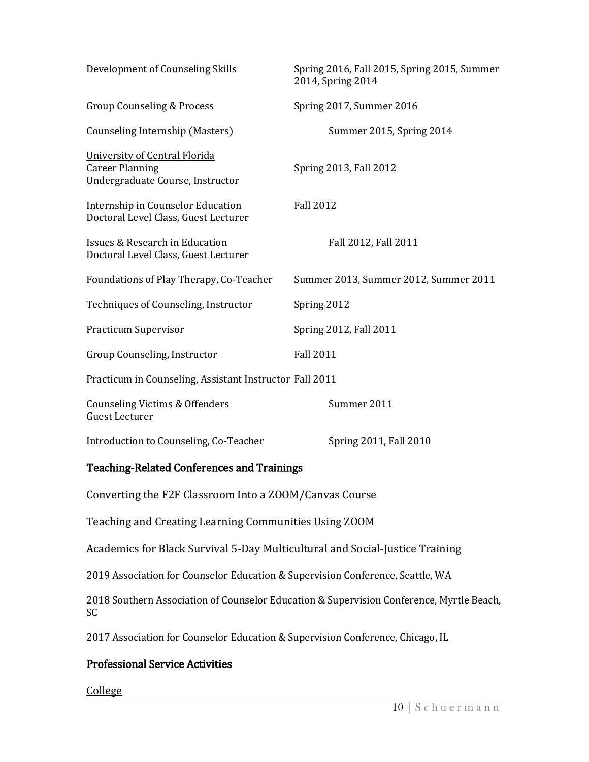| Development of Counseling Skills                                                            | Spring 2016, Fall 2015, Spring 2015, Summer<br>2014, Spring 2014 |  |
|---------------------------------------------------------------------------------------------|------------------------------------------------------------------|--|
| Group Counseling & Process                                                                  | Spring 2017, Summer 2016                                         |  |
| Counseling Internship (Masters)                                                             | Summer 2015, Spring 2014                                         |  |
| University of Central Florida<br><b>Career Planning</b><br>Undergraduate Course, Instructor | Spring 2013, Fall 2012                                           |  |
| Internship in Counselor Education<br>Doctoral Level Class, Guest Lecturer                   | <b>Fall 2012</b>                                                 |  |
| Issues & Research in Education<br>Doctoral Level Class, Guest Lecturer                      | Fall 2012, Fall 2011                                             |  |
| Foundations of Play Therapy, Co-Teacher                                                     | Summer 2013, Summer 2012, Summer 2011                            |  |
| Techniques of Counseling, Instructor                                                        | Spring 2012                                                      |  |
| <b>Practicum Supervisor</b>                                                                 | Spring 2012, Fall 2011                                           |  |
| Group Counseling, Instructor                                                                | <b>Fall 2011</b>                                                 |  |
| Practicum in Counseling, Assistant Instructor Fall 2011                                     |                                                                  |  |
| <b>Counseling Victims &amp; Offenders</b><br><b>Guest Lecturer</b>                          | Summer 2011                                                      |  |
| Introduction to Counseling, Co-Teacher                                                      | Spring 2011, Fall 2010                                           |  |

## Teaching-Related Conferences and Trainings

Converting the F2F Classroom Into a ZOOM/Canvas Course

Teaching and Creating Learning Communities Using ZOOM

Academics for Black Survival 5-Day Multicultural and Social-Justice Training

2019 Association for Counselor Education & Supervision Conference, Seattle, WA

2018 Southern Association of Counselor Education & Supervision Conference, Myrtle Beach, SC

2017 Association for Counselor Education & Supervision Conference, Chicago, IL

## Professional Service Activities

**College**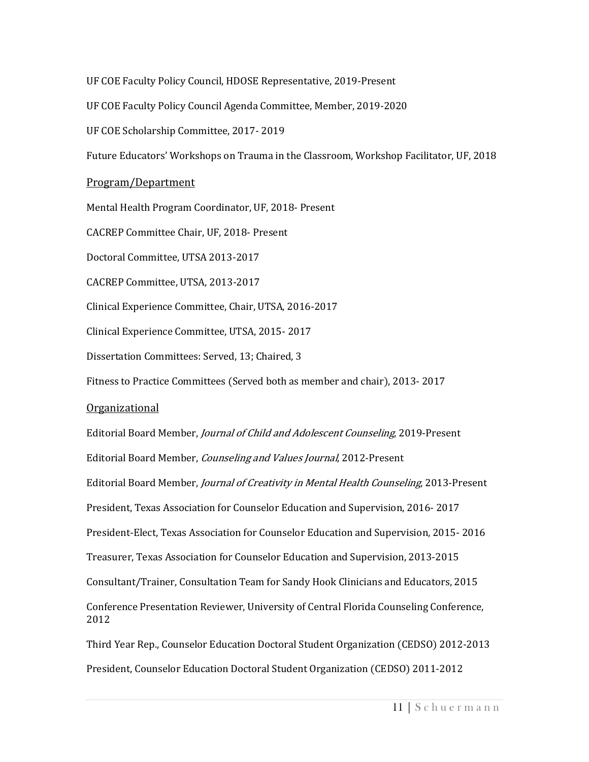UF COE Faculty Policy Council, HDOSE Representative, 2019-Present

UF COE Faculty Policy Council Agenda Committee, Member, 2019-2020

UF COE Scholarship Committee, 2017- 2019

Future Educators' Workshops on Trauma in the Classroom, Workshop Facilitator, UF, 2018

Program/Department

Mental Health Program Coordinator, UF, 2018- Present

CACREP Committee Chair, UF, 2018- Present

Doctoral Committee, UTSA 2013-2017

CACREP Committee, UTSA, 2013-2017

Clinical Experience Committee, Chair, UTSA, 2016-2017

Clinical Experience Committee, UTSA, 2015- 2017

Dissertation Committees: Served, 13; Chaired, 3

Fitness to Practice Committees (Served both as member and chair), 2013- 2017

#### Organizational

Editorial Board Member, Journal of Child and Adolescent Counseling, 2019-Present Editorial Board Member, Counseling and Values Journal, 2012-Present Editorial Board Member, Journal of Creativity in Mental Health Counseling, 2013-Present President, Texas Association for Counselor Education and Supervision, 2016- 2017 President-Elect, Texas Association for Counselor Education and Supervision, 2015- 2016 Treasurer, Texas Association for Counselor Education and Supervision, 2013-2015 Consultant/Trainer, Consultation Team for Sandy Hook Clinicians and Educators, 2015 Conference Presentation Reviewer, University of Central Florida Counseling Conference, 2012 Third Year Rep., Counselor Education Doctoral Student Organization (CEDSO) 2012-2013

President, Counselor Education Doctoral Student Organization (CEDSO) 2011-2012